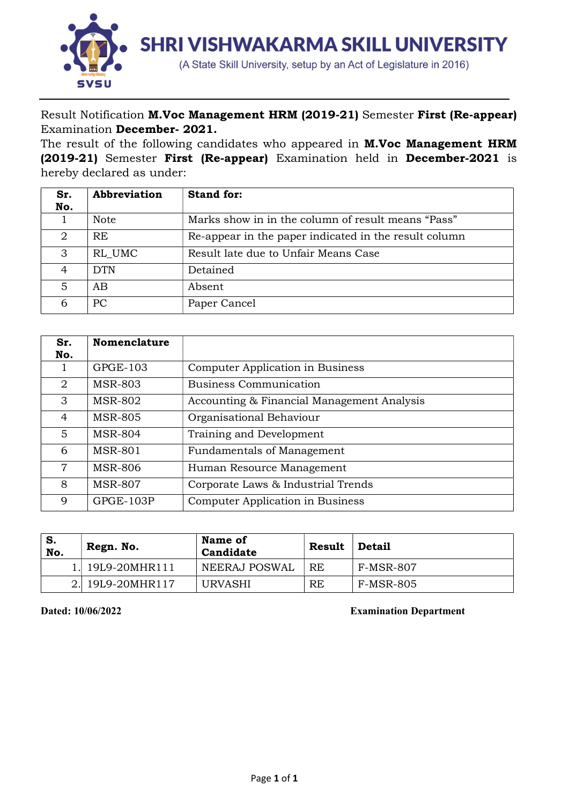

Result Notification M.Voc Management HRM (2019-21) Semester First (Re-appear) Examination December- 2021.

The result of the following candidates who appeared in **M.Voc Management HRM** (2019-21) Semester First (Re-appear) Examination held in December-2021 is hereby declared as under:

| Sr.<br>No. | Abbreviation | <b>Stand for:</b>                                     |
|------------|--------------|-------------------------------------------------------|
|            | <b>Note</b>  | Marks show in in the column of result means "Pass"    |
| 2          | RE.          | Re-appear in the paper indicated in the result column |
| 3          | RL UMC       | Result late due to Unfair Means Case                  |
| 4          | DTN          | Detained                                              |
| 5          | AB           | Absent                                                |
| 6          | PС           | Paper Cancel                                          |

| Sr. | <b>Nomenclature</b> |                                            |
|-----|---------------------|--------------------------------------------|
| No. |                     |                                            |
|     | GPGE-103            | Computer Application in Business           |
| 2   | <b>MSR-803</b>      | <b>Business Communication</b>              |
| 3   | <b>MSR-802</b>      | Accounting & Financial Management Analysis |
| 4   | <b>MSR-805</b>      | Organisational Behaviour                   |
| 5   | <b>MSR-804</b>      | Training and Development                   |
| 6   | <b>MSR-801</b>      | <b>Fundamentals of Management</b>          |
| 7   | <b>MSR-806</b>      | Human Resource Management                  |
| 8   | <b>MSR-807</b>      | Corporate Laws & Industrial Trends         |
| 9   | GPGE-103P           | Computer Application in Business           |

| ' S.<br>No. | Regn. No.        | Name of<br>Candidate | <b>Result</b> | <b>Detail</b>    |
|-------------|------------------|----------------------|---------------|------------------|
|             | 1. 19L9-20MHR111 | NEERAJ POSWAL        | <b>RE</b>     | <b>F-MSR-807</b> |
|             | 2. 19L9-20MHR117 | URVASHI              | RE            | F-MSR-805        |

Dated: 10/06/2022 Examination Department